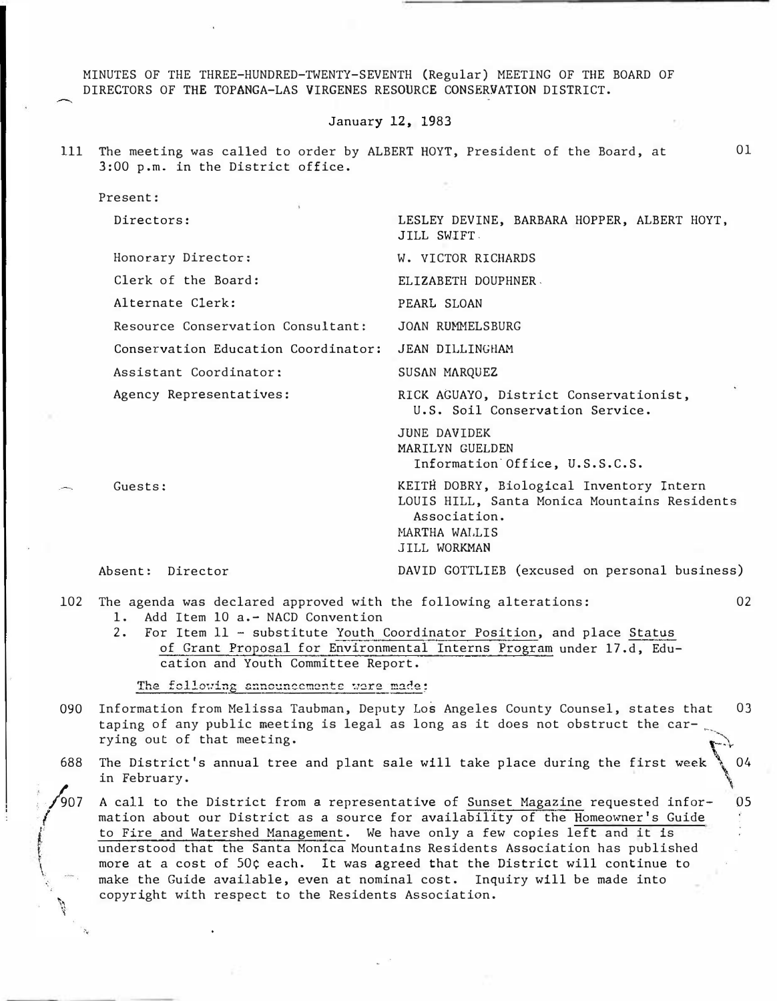MINUTES OF THE THREE-HUNDRED-TWENTY-SEVENTH (Regular) MEETING OF THE BOARD OF DIRECTORS OF THE TOPANGA-LAS VIRGENES RESOURCE CONSERVATION DISTRICT.

## January 12, 1983

01

111 The meeting was called to order by ALBERT HOYT, President of the Board, at 3:00 p.m. in the District office.

Present: Directors: LESLEY DEVINE, BARBARA HOPPER, ALBERT HOYT, JILL SWIFT-Honorary Director: W. VICTOR RICHARDS Clerk of the Board: ELIZABETH DOUPHNER. Alternate Clerk: PEARL SLOAN Resource Conservation Consultant: JOAN RUMMELSBURG Conservation Education Coordinator: JEAN DILLINGHAM Assistant Coordinator: SUSAN MARQUEZ Agency Representatives: RICK AGUAYO, District Conservationist, Guests: Absent: Director U.S. Soil Conservation Service. JUNE DAVIDEK MARILYN GUELDEN Information'Office, U.S.S.C.S. KEITH DOBRY, Biological Inventory Intern LOUIS HILL, Santa Monica Mountains Residents Association. MARTHA WALLIS JILL WORKMAN DAVID GOTTLIEB (excused on personal business)

102 The agenda was declared approved with the following alterations: 02 1. Add Item 10 a. - NACD Convention

2. For Item 11 - substitute Youth Coordinator Position, and place Status of Grant Proposal for Environmental Interns Program under 17.d, Education and Youth Committee Report.

The following announcements were made:

f  $\mathbf{i}$  $\dot{r}$ 

- 090 Information from Melissa Taubman, Deputy Los Angeles County Counsel, states that 03 taping of any public meeting is legal as long as it does not obstruct the carrying out of that meeting. ''\.
- 688 The District's annual tree and plant sale will take place during the first week  $\setminus$  04 in February. �
- $^{'}907$ A call to the District from a representative of Sunset Magazine requested infor- 05 mation about our District as a source for availability of the Homeowner's Guide to Fire and Watershed Management. We have only a few copies left and it is understood that the Santa Monica Mountains Residents Association has published more at a cost of 50¢ each. It was agreed that the District will continue to make the Guide available, even at nominal cost. Inquiry will be made into copyright with respect to the Residents Association.